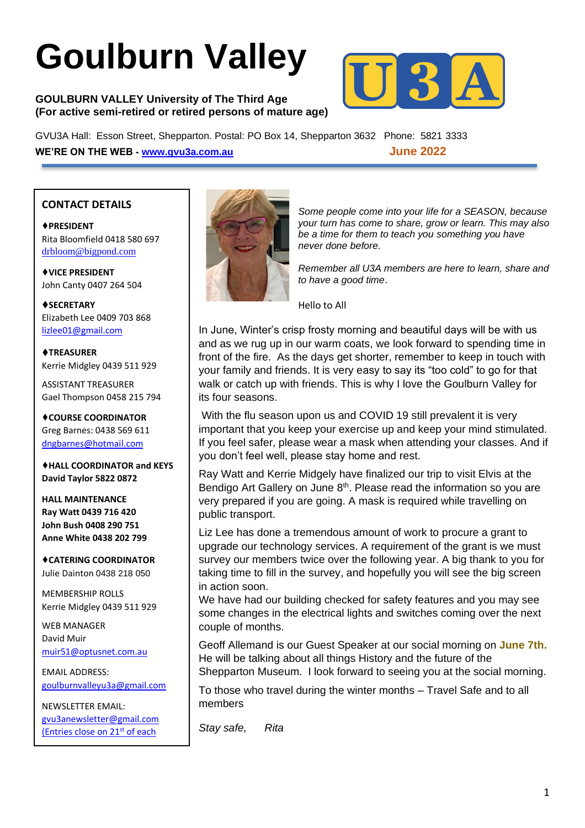# **Goulburn Valley**

#### **GOULBURN VALLEY University of The Third Age (For active semi-retired or retired persons of mature age)**



GVU3A Hall: Esson Street, Shepparton. Postal: PO Box 14, Shepparton 3632 Phone: 5821 3333 **WE'RE ON THE WEB - [www.gvu3a.com.au](about:blank) June 2022**

#### **CONTACT DETAILS**

♦**PRESIDENT** Rita Bloomfield 0418 580 697 [drbloom@bigpond.com](about:blank)

♦**VICE PRESIDENT** John Canty 0407 264 504

♦**SECRETARY** Elizabeth Lee 0409 703 868 [lizlee01@gmail.com](about:blank)

♦**TREASURER** Kerrie Midgley 0439 511 929

ASSISTANT TREASURER Gael Thompson 0458 215 794

♦**COURSE COORDINATOR**  Greg Barnes: 0438 569 611 [dngbarnes@hotmail.com](about:blank)

♦**HALL COORDINATOR and KEYS David Taylor 5822 0872**

**HALL MAINTENANCE Ray Watt 0439 716 420 John Bush 0408 290 751 Anne White 0438 202 799**

♦**CATERING COORDINATOR** Julie Dainton 0438 218 050

MEMBERSHIP ROLLS Kerrie Midgley 0439 511 929

WEB MANAGER David Muir [muir51@optusnet.com.au](about:blank)

EMAIL ADDRESS: [goulburnvalleyu3a@gmail.com](about:blank)

NEWSLETTER EMAIL: [gvu3anewsletter@gmail.com](about:blank) (Entries close on 21<sup>st</sup> of each

month)



*Some people come into your life for a SEASON, because your turn has come to share, grow or learn. This may also be a time for them to teach you something you have never done before.*

*Remember all U3A members are here to learn, share and to have a good time*.

Hello to All

In June, Winter's crisp frosty morning and beautiful days will be with us and as we rug up in our warm coats, we look forward to spending time in front of the fire. As the days get shorter, remember to keep in touch with your family and friends. It is very easy to say its "too cold" to go for that walk or catch up with friends. This is why I love the Goulburn Valley for its four seasons.

With the flu season upon us and COVID 19 still prevalent it is very important that you keep your exercise up and keep your mind stimulated. If you feel safer, please wear a mask when attending your classes. And if you don't feel well, please stay home and rest.

Ray Watt and Kerrie Midgely have finalized our trip to visit Elvis at the Bendigo Art Gallery on June 8<sup>th</sup>. Please read the information so you are very prepared if you are going. A mask is required while travelling on public transport.

Liz Lee has done a tremendous amount of work to procure a grant to upgrade our technology services. A requirement of the grant is we must survey our members twice over the following year. A big thank to you for taking time to fill in the survey, and hopefully you will see the big screen in action soon.

We have had our building checked for safety features and you may see some changes in the electrical lights and switches coming over the next couple of months.

Geoff Allemand is our Guest Speaker at our social morning on **June 7th.** He will be talking about all things History and the future of the Shepparton Museum. I look forward to seeing you at the social morning.

To those who travel during the winter months – Travel Safe and to all members

*Stay safe, Rita*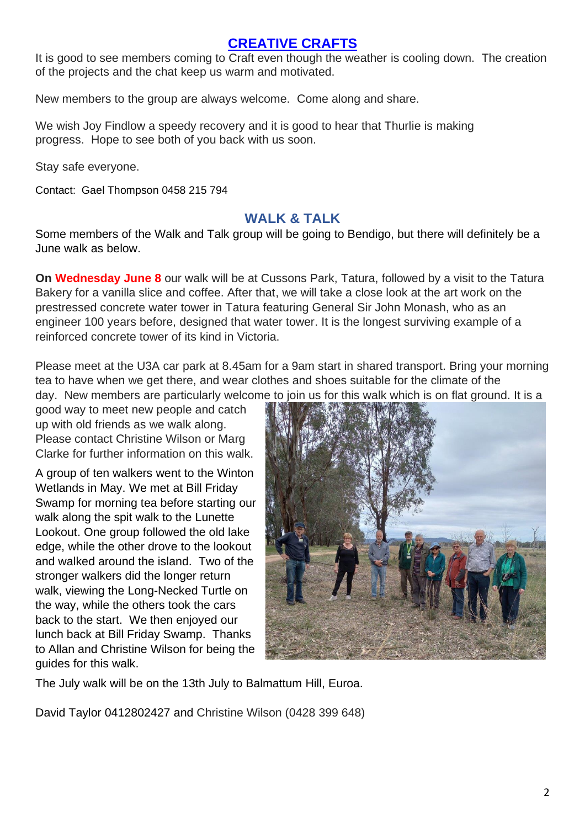## **[CREATIVE CRAFTS](https://www.gvu3a.com.au/creative-craft)**

It is good to see members coming to Craft even though the weather is cooling down. The creation of the projects and the chat keep us warm and motivated.

New members to the group are always welcome. Come along and share.

We wish Joy Findlow a speedy recovery and it is good to hear that Thurlie is making progress. Hope to see both of you back with us soon.

Stay safe everyone.

Contact: Gael Thompson 0458 215 794

#### **WALK & TALK**

Some members of the Walk and Talk group will be going to Bendigo, but there will definitely be a June walk as below.

**On Wednesday June 8** our walk will be at Cussons Park, Tatura, followed by a visit to the Tatura Bakery for a vanilla slice and coffee. After that, we will take a close look at the art work on the prestressed concrete water tower in Tatura featuring General Sir John Monash, who as an engineer 100 years before, designed that water tower. It is the longest surviving example of a reinforced concrete tower of its kind in Victoria.

Please meet at the U3A car park at 8.45am for a 9am start in shared transport. Bring your morning tea to have when we get there, and wear clothes and shoes suitable for the climate of the day. New members are particularly welcome to join us for this walk which is on flat ground. It is a

good way to meet new people and catch up with old friends as we walk along. Please contact Christine Wilson or Marg Clarke for further information on this walk.

A group of ten walkers went to the Winton Wetlands in May. We met at Bill Friday Swamp for morning tea before starting our walk along the spit walk to the Lunette Lookout. One group followed the old lake edge, while the other drove to the lookout and walked around the island. Two of the stronger walkers did the longer return walk, viewing the Long-Necked Turtle on the way, while the others took the cars back to the start. We then enjoyed our lunch back at Bill Friday Swamp. Thanks to Allan and Christine Wilson for being the guides for this walk.



The July walk will be on the 13th July to Balmattum Hill, Euroa.

David Taylor 0412802427 and Christine Wilson (0428 399 648)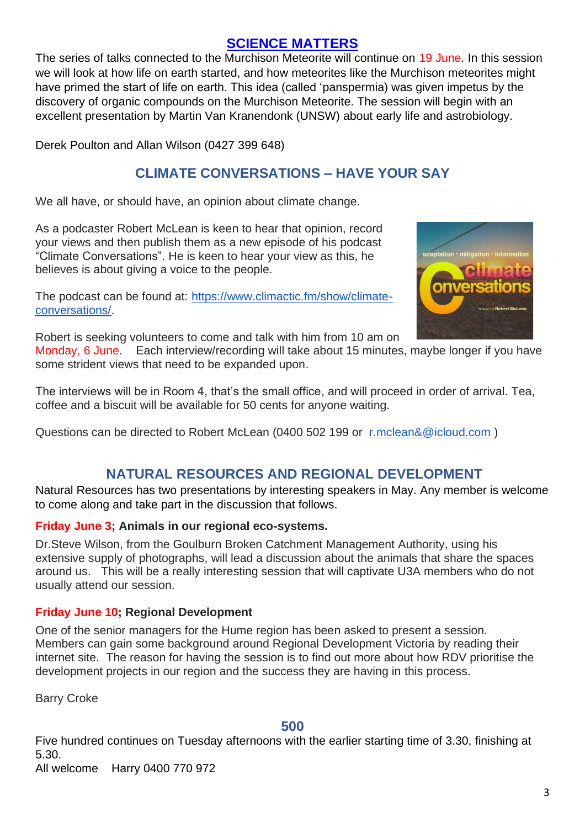## **[SCIENCE MATTERS](https://www.gvu3a.com.au/science-matters)**

The series of talks connected to the Murchison Meteorite will continue on 19 June. In this session we will look at how life on earth started, and how meteorites like the Murchison meteorites might have primed the start of life on earth. This idea (called 'panspermia) was given impetus by the discovery of organic compounds on the Murchison Meteorite. The session will begin with an excellent presentation by Martin Van Kranendonk (UNSW) about early life and astrobiology.

Derek Poulton and Allan Wilson (0427 399 648)

# **CLIMATE CONVERSATIONS – HAVE YOUR SAY**

We all have, or should have, an opinion about climate change.

As a podcaster Robert McLean is keen to hear that opinion, record your views and then publish them as a new episode of his podcast "Climate Conversations". He is keen to hear your view as this, he believes is about giving a voice to the people.

The podcast can be found at: [https://www.climactic.fm/show/climate](https://www.climactic.fm/show/climate-conversations/)[conversations/.](https://www.climactic.fm/show/climate-conversations/)



Robert is seeking volunteers to come and talk with him from 10 am on

Monday, 6 June. Each interview/recording will take about 15 minutes, maybe longer if you have some strident views that need to be expanded upon.

The interviews will be in Room 4, that's the small office, and will proceed in order of arrival. Tea, coffee and a biscuit will be available for 50 cents for anyone waiting.

Questions can be directed to Robert McLean (0400 502 199 or [r.mclean&@icloud.com](mailto:r.mclean&@icloud.com))

## **NATURAL RESOURCES AND REGIONAL DEVELOPMENT**

Natural Resources has two presentations by interesting speakers in May. Any member is welcome to come along and take part in the discussion that follows.

#### **Friday June 3; Animals in our regional eco-systems.**

Dr.Steve Wilson, from the Goulburn Broken Catchment Management Authority, using his extensive supply of photographs, will lead a discussion about the animals that share the spaces around us. This will be a really interesting session that will captivate U3A members who do not usually attend our session.

#### **Friday June 10; Regional Development**

One of the senior managers for the Hume region has been asked to present a session. Members can gain some background around Regional Development Victoria by reading their internet site. The reason for having the session is to find out more about how RDV prioritise the development projects in our region and the success they are having in this process.

Barry Croke

#### **500**

Five hundred continues on Tuesday afternoons with the earlier starting time of 3.30, finishing at 5.30.

All welcome Harry 0400 770 972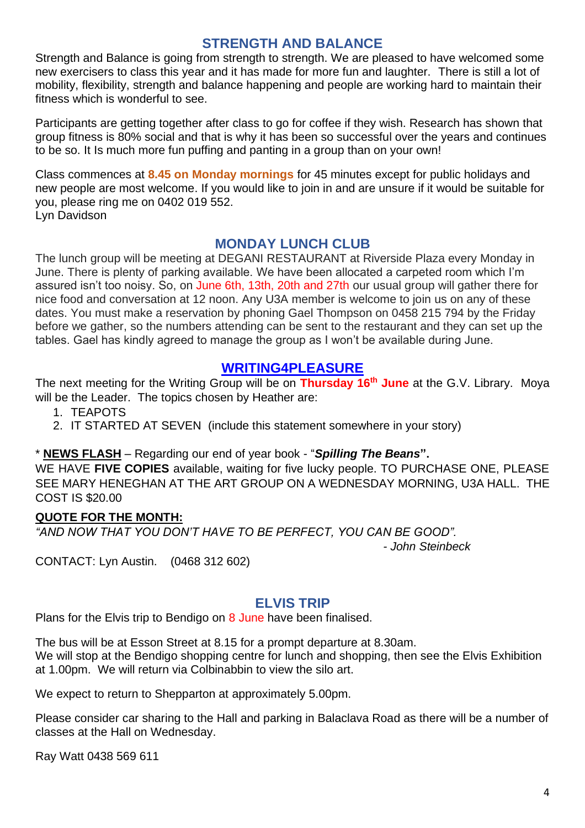## **STRENGTH AND BALANCE**

Strength and Balance is going from strength to strength. We are pleased to have welcomed some new exercisers to class this year and it has made for more fun and laughter. There is still a lot of mobility, flexibility, strength and balance happening and people are working hard to maintain their fitness which is wonderful to see.

Participants are getting together after class to go for coffee if they wish. Research has shown that group fitness is 80% social and that is why it has been so successful over the years and continues to be so. It Is much more fun puffing and panting in a group than on your own!

Class commences at **8.45 on Monday mornings** for 45 minutes except for public holidays and new people are most welcome. If you would like to join in and are unsure if it would be suitable for you, please ring me on 0402 019 552. Lyn Davidson

**MONDAY LUNCH CLUB**

The lunch group will be meeting at DEGANI RESTAURANT at Riverside Plaza every Monday in June. There is plenty of parking available. We have been allocated a carpeted room which I'm assured isn't too noisy. So, on June 6th, 13th, 20th and 27th our usual group will gather there for nice food and conversation at 12 noon. Any U3A member is welcome to join us on any of these dates. You must make a reservation by phoning Gael Thompson on 0458 215 794 by the Friday before we gather, so the numbers attending can be sent to the restaurant and they can set up the tables. Gael has kindly agreed to manage the group as I won't be available during June.

## **[WRITING4PLEASURE](https://www.gvu3a.com.au/writing-for-pleasure)**

The next meeting for the Writing Group will be on **Thursday 16th June** at the G.V. Library. Moya will be the Leader. The topics chosen by Heather are:

- 1. TEAPOTS
- 2. IT STARTED AT SEVEN (include this statement somewhere in your story)

\* **NEWS FLASH** – Regarding our end of year book - "*Spilling The Beans***".**

WE HAVE **FIVE COPIES** available, waiting for five lucky people. TO PURCHASE ONE, PLEASE SEE MARY HENEGHAN AT THE ART GROUP ON A WEDNESDAY MORNING, U3A HALL. THE COST IS \$20.00

#### **QUOTE FOR THE MONTH:**

*"AND NOW THAT YOU DON'T HAVE TO BE PERFECT, YOU CAN BE GOOD".*

 *- John Steinbeck*

CONTACT: Lyn Austin. (0468 312 602)

## **ELVIS TRIP**

Plans for the Elvis trip to Bendigo on 8 June have been finalised.

The bus will be at Esson Street at 8.15 for a prompt departure at 8.30am. We will stop at the Bendigo shopping centre for lunch and shopping, then see the Elvis Exhibition at 1.00pm. We will return via Colbinabbin to view the silo art.

We expect to return to Shepparton at approximately 5.00pm.

Please consider car sharing to the Hall and parking in Balaclava Road as there will be a number of classes at the Hall on Wednesday.

Ray Watt 0438 569 611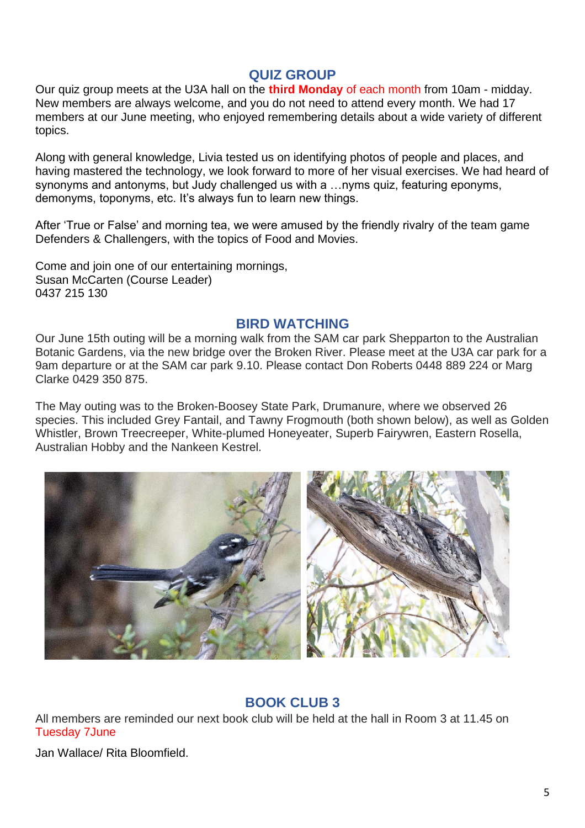## **QUIZ GROUP**

Our quiz group meets at the U3A hall on the **third Monday** of each month from 10am - midday. New members are always welcome, and you do not need to attend every month. We had 17 members at our June meeting, who enjoyed remembering details about a wide variety of different topics.

Along with general knowledge, Livia tested us on identifying photos of people and places, and having mastered the technology, we look forward to more of her visual exercises. We had heard of synonyms and antonyms, but Judy challenged us with a …nyms quiz, featuring eponyms, demonyms, toponyms, etc. It's always fun to learn new things.

After 'True or False' and morning tea, we were amused by the friendly rivalry of the team game Defenders & Challengers, with the topics of Food and Movies.

Come and join one of our entertaining mornings, Susan McCarten (Course Leader) 0437 215 130

#### **BIRD WATCHING**

Our June 15th outing will be a morning walk from the SAM car park Shepparton to the Australian Botanic Gardens, via the new bridge over the Broken River. Please meet at the U3A car park for a 9am departure or at the SAM car park 9.10. Please contact Don Roberts 0448 889 224 or Marg Clarke 0429 350 875.

The May outing was to the Broken-Boosey State Park, Drumanure, where we observed 26 species. This included Grey Fantail, and Tawny Frogmouth (both shown below), as well as Golden Whistler, Brown Treecreeper, White-plumed Honeyeater, Superb Fairywren, Eastern Rosella, Australian Hobby and the Nankeen Kestrel.



## **BOOK CLUB 3**

All members are reminded our next book club will be held at the hall in Room 3 at 11.45 on Tuesday 7June

Jan Wallace/ Rita Bloomfield.